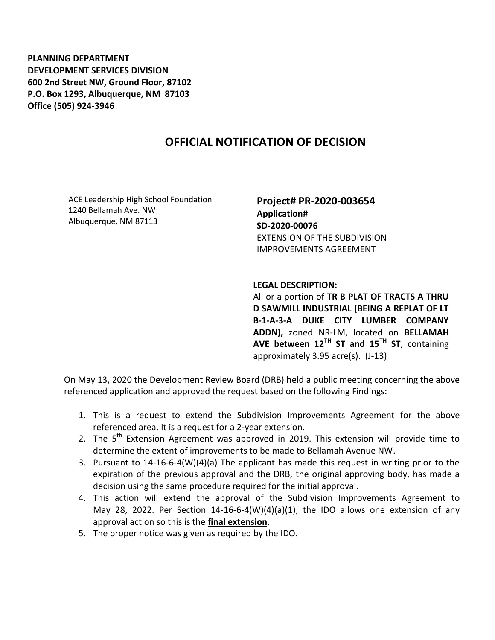**PLANNING DEPARTMENT DEVELOPMENT SERVICES DIVISION 600 2nd Street NW, Ground Floor, 87102 P.O. Box 1293, Albuquerque, NM 87103 Office (505) 924-3946** 

## **OFFICIAL NOTIFICATION OF DECISION**

ACE Leadership High School Foundation 1240 Bellamah Ave. NW Albuquerque, NM 87113

**Project# PR-2020-003654 Application# SD-2020-00076** EXTENSION OF THE SUBDIVISION IMPROVEMENTS AGREEMENT

## **LEGAL DESCRIPTION:**

All or a portion of **TR B PLAT OF TRACTS A THRU D SAWMILL INDUSTRIAL (BEING A REPLAT OF LT B-1-A-3-A DUKE CITY LUMBER COMPANY ADDN),** zoned NR-LM, located on **BELLAMAH AVE between 12TH ST and 15TH ST**, containing approximately 3.95 acre(s). (J-13)

On May 13, 2020 the Development Review Board (DRB) held a public meeting concerning the above referenced application and approved the request based on the following Findings:

- 1. This is a request to extend the Subdivision Improvements Agreement for the above referenced area. It is a request for a 2-year extension.
- 2. The 5<sup>th</sup> Extension Agreement was approved in 2019. This extension will provide time to determine the extent of improvements to be made to Bellamah Avenue NW.
- 3. Pursuant to 14-16-6-4(W)(4)(a) The applicant has made this request in writing prior to the expiration of the previous approval and the DRB, the original approving body, has made a decision using the same procedure required for the initial approval.
- 4. This action will extend the approval of the Subdivision Improvements Agreement to May 28, 2022. Per Section 14-16-6-4(W)(4)(a)(1), the IDO allows one extension of any approval action so this is the **final extension**.
- 5. The proper notice was given as required by the IDO.